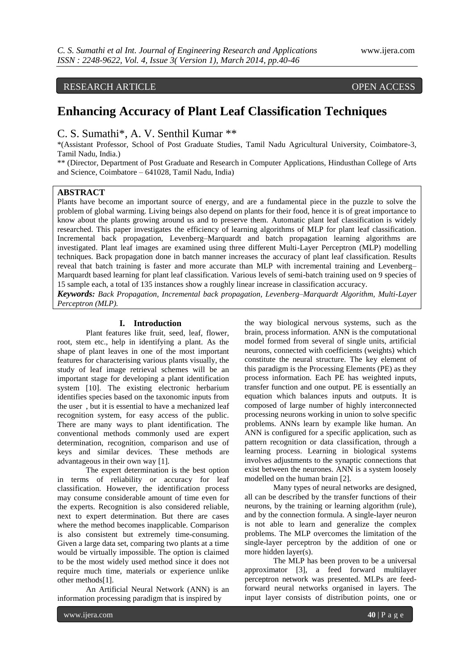# RESEARCH ARTICLE OPEN ACCESS

# **Enhancing Accuracy of Plant Leaf Classification Techniques**

# C. S. Sumathi\*, A. V. Senthil Kumar \*\*

\*(Assistant Professor, School of Post Graduate Studies, Tamil Nadu Agricultural University, Coimbatore-3, Tamil Nadu, India.)

\*\* (Director, Department of Post Graduate and Research in Computer Applications, Hindusthan College of Arts and Science, Coimbatore – 641028, Tamil Nadu, India)

#### **ABSTRACT**

Plants have become an important source of energy, and are a fundamental piece in the puzzle to solve the problem of global warming. Living beings also depend on plants for their food, hence it is of great importance to know about the plants growing around us and to preserve them. Automatic plant leaf classification is widely researched. This paper investigates the efficiency of learning algorithms of MLP for plant leaf classification. Incremental back propagation, Levenberg–Marquardt and batch propagation learning algorithms are investigated. Plant leaf images are examined using three different Multi-Layer Perceptron (MLP) modelling techniques. Back propagation done in batch manner increases the accuracy of plant leaf classification. Results reveal that batch training is faster and more accurate than MLP with incremental training and Levenberg– Marquardt based learning for plant leaf classification. Various levels of semi-batch training used on 9 species of 15 sample each, a total of 135 instances show a roughly linear increase in classification accuracy.

*Keywords: Back Propagation, Incremental back propagation, Levenberg–Marquardt Algorithm, Multi-Layer Perceptron (MLP).*

#### **I. Introduction**

Plant features like fruit, seed, leaf, flower, root, stem etc., help in identifying a plant. As the shape of plant leaves in one of the most important features for characterising various plants visually, the study of leaf image retrieval schemes will be an important stage for developing a plant identification system [10]. The existing electronic herbarium identifies species based on the taxonomic inputs from the user , but it is essential to have a mechanized leaf recognition system, for easy access of the public. There are many ways to plant identification. The conventional methods commonly used are expert determination, recognition, comparison and use of keys and similar devices. These methods are advantageous in their own way [1].

The expert determination is the best option in terms of reliability or accuracy for leaf classification. However, the identification process may consume considerable amount of time even for the experts. Recognition is also considered reliable, next to expert determination. But there are cases where the method becomes inapplicable. Comparison is also consistent but extremely time-consuming. Given a large data set, comparing two plants at a time would be virtually impossible. The option is claimed to be the most widely used method since it does not require much time, materials or experience unlike other methods[1].

An Artificial Neural Network (ANN) is an information processing paradigm that is inspired by

the way biological nervous systems, such as the brain, process information. ANN is the computational model formed from several of single units, artificial neurons, connected with coefficients (weights) which constitute the neural structure. The key element of this paradigm is the Processing Elements (PE) as they process information. Each PE has weighted inputs, transfer function and one output. PE is essentially an equation which balances inputs and outputs. It is composed of large number of highly interconnected processing neurons working in union to solve specific problems. ANNs learn by example like human. An ANN is configured for a specific application, such as pattern recognition or data classification, through a learning process. Learning in biological systems involves adjustments to the synaptic connections that exist between the neurones. ANN is a system loosely modelled on the human brain [2].

Many types of neural networks are designed, all can be described by the transfer functions of their neurons, by the training or learning algorithm (rule), and by the connection formula. A single-layer neuron is not able to learn and generalize the complex problems. The MLP overcomes the limitation of the single-layer perceptron by the addition of one or more hidden layer(s).

The MLP has been proven to be a universal approximator [3], a feed forward multilayer perceptron network was presented. MLPs are feedforward neural networks organised in layers. The input layer consists of distribution points, one or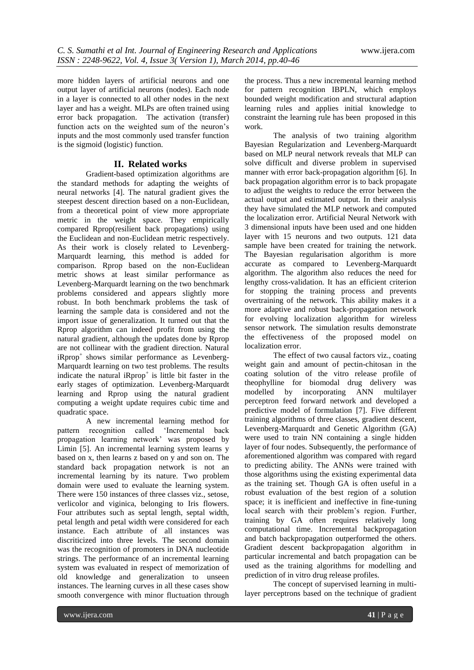more hidden layers of artificial neurons and one output layer of artificial neurons (nodes). Each node in a layer is connected to all other nodes in the next layer and has a weight. MLPs are often trained using error back propagation. The activation (transfer) function acts on the weighted sum of the neuron's inputs and the most commonly used transfer function is the sigmoid (logistic) function.

### **II. Related works**

Gradient-based optimization algorithms are the standard methods for adapting the weights of neural networks [4]. The natural gradient gives the steepest descent direction based on a non-Euclidean, from a theoretical point of view more appropriate metric in the weight space. They empirically compared Rprop(resilient back propagations) using the Euclidean and non-Euclidean metric respectively. As their work is closely related to Levenberg-Marquardt learning, this method is added for comparison. Rprop based on the non-Euclidean metric shows at least similar performance as Levenberg-Marquardt learning on the two benchmark problems considered and appears slightly more robust. In both benchmark problems the task of learning the sample data is considered and not the import issue of generalization. It turned out that the Rprop algorithm can indeed profit from using the natural gradient, although the updates done by Rprop are not collinear with the gradient direction. Natural  $iR$ prop<sup>+</sup> shows similar performance as Levenberg-Marquardt learning on two test problems. The results indicate the natural iRprop<sup>+</sup> is little bit faster in the early stages of optimization. Levenberg-Marquardt learning and Rprop using the natural gradient computing a weight update requires cubic time and quadratic space.

A new incremental learning method for pattern recognition called 'Incremental back propagation learning network' was proposed by Limin [5]. An incremental learning system learns y based on x, then learns z based on y and son on. The standard back propagation network is not an incremental learning by its nature. Two problem domain were used to evaluate the learning system. There were 150 instances of three classes viz., setose, verlicolor and viginica, belonging to Iris flowers. Four attributes such as septal length, septal width, petal length and petal width were considered for each instance. Each attribute of all instances was discriticized into three levels. The second domain was the recognition of promoters in DNA nucleotide strings. The performance of an incremental learning system was evaluated in respect of memorization of old knowledge and generalization to unseen instances. The learning curves in all these cases show smooth convergence with minor fluctuation through

the process. Thus a new incremental learning method for pattern recognition IBPLN, which employs bounded weight modification and structural adaption learning rules and applies initial knowledge to constraint the learning rule has been proposed in this work.

The analysis of two training algorithm Bayesian Regularization and Levenberg-Marquardt based on MLP neural network reveals that MLP can solve difficult and diverse problem in supervised manner with error back-propagation algorithm [6]. In back propagation algorithm error is to back propagate to adjust the weights to reduce the error between the actual output and estimated output. In their analysis they have simulated the MLP network and computed the localization error. Artificial Neural Network with 3 dimensional inputs have been used and one hidden layer with 15 neurons and two outputs. 121 data sample have been created for training the network. The Bayesian regularisation algorithm is more accurate as compared to Levenberg-Marquardt algorithm. The algorithm also reduces the need for lengthy cross-validation. It has an efficient criterion for stopping the training process and prevents overtraining of the network. This ability makes it a more adaptive and robust back-propagation network for evolving localization algorithm for wireless sensor network. The simulation results demonstrate the effectiveness of the proposed model on localization error.

The effect of two causal factors viz., coating weight gain and amount of pectin-chitosan in the coating solution of the vitro release profile of theophylline for biomodal drug delivery was modelled by incorporating ANN multilayer perceptron feed forward network and developed a predictive model of formulation [7]. Five different training algorithms of three classes, gradient descent, Levenberg-Marquardt and Genetic Algorithm (GA) were used to train NN containing a single hidden layer of four nodes. Subsequently, the performance of aforementioned algorithm was compared with regard to predicting ability. The ANNs were trained with those algorithms using the existing experimental data as the training set. Though GA is often useful in a robust evaluation of the best region of a solution space; it is inefficient and ineffective in fine-tuning local search with their problem's region. Further, training by GA often requires relatively long computational time. Incremental backpropagation and batch backpropagation outperformed the others. Gradient descent backpropagation algorithm in particular incremental and batch propagation can be used as the training algorithms for modelling and prediction of in vitro drug release profiles.

The concept of supervised learning in multilayer perceptrons based on the technique of gradient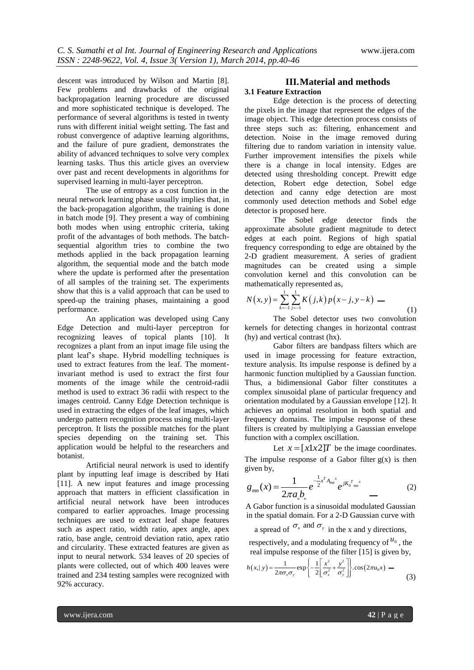descent was introduced by Wilson and Martin [8]. Few problems and drawbacks of the original backpropagation learning procedure are discussed and more sophisticated technique is developed. The performance of several algorithms is tested in twenty runs with different initial weight setting. The fast and robust convergence of adaptive learning algorithms, and the failure of pure gradient, demonstrates the ability of advanced techniques to solve very complex learning tasks. Thus this article gives an overview over past and recent developments in algorithms for supervised learning in multi-layer perceptron.

The use of entropy as a cost function in the neural network learning phase usually implies that, in the back-propagation algorithm, the training is done in batch mode [9]. They present a way of combining both modes when using entrophic criteria, taking profit of the advantages of both methods. The batchsequential algorithm tries to combine the two methods applied in the back propagation learning algorithm, the sequential mode and the batch mode where the update is performed after the presentation of all samples of the training set. The experiments show that this is a valid approach that can be used to speed-up the training phases, maintaining a good performance.

An application was developed using Cany Edge Detection and multi-layer perceptron for recognizing leaves of topical plants [10]. It recognizes a plant from an input image file using the plant leaf's shape. Hybrid modelling techniques is used to extract features from the leaf. The momentinvariant method is used to extract the first four moments of the image while the centroid-radii method is used to extract 36 radii with respect to the images centroid. Canny Edge Detection technique is used in extracting the edges of the leaf images, which undergo pattern recognition process using multi-layer perceptron. It lists the possible matches for the plant species depending on the training set. This application would be helpful to the researchers and botanist.

Artificial neural network is used to identify plant by inputting leaf image is described by Hati [11]. A new input features and image processing approach that matters in efficient classification in artificial neural network have been introduces compared to earlier approaches. Image processing techniques are used to extract leaf shape features such as aspect ratio, width ratio, apex angle, apex ratio, base angle, centroid deviation ratio, apex ratio and circularity. These extracted features are given as input to neural network. 534 leaves of 20 species of plants were collected, out of which 400 leaves were trained and 234 testing samples were recognized with 92% accuracy.

# **III.Material and methods**

# **3.1 Feature Extraction**

Edge detection is the process of detecting the pixels in the image that represent the edges of the image object. This edge detection process consists of three steps such as: filtering, enhancement and detection. Noise in the image removed during filtering due to random variation in intensity value. Further improvement intensifies the pixels while there is a change in local intensity. Edges are detected using thresholding concept. Prewitt edge detection, Robert edge detection, Sobel edge detection and canny edge detection are most commonly used detection methods and Sobel edge detector is proposed here.

The Sobel edge detector finds the approximate absolute gradient magnitude to detect edges at each point. Regions of high spatial frequency corresponding to edge are obtained by the 2-D gradient measurement. A series of gradient magnitudes can be created using a simple convolution kernel and this convolution can be

mathematically represented as,  
\n
$$
N(x, y) = \sum_{k=1}^{1} \sum_{j=1}^{1} K(j,k) p(x-j, y-k) \tag{1}
$$

The Sobel detector uses two convolution kernels for detecting changes in horizontal contrast (hy) and vertical contrast (hx).

Gabor filters are bandpass filters which are used in image processing for feature extraction, texture analysis. Its impulse response is defined by a harmonic function multiplied by a Gaussian function. Thus, a bidimensional Gabor filter constitutes a complex sinusoidal plane of particular frequency and orientation modulated by a Gaussian envelope [12]. It achieves an optimal resolution in both spatial and frequency domains. The impulse response of these filters is created by multiplying a Gaussian envelope function with a complex oscillation.

Let  $x = [x \cdot 1 \cdot x \cdot 2]$  be the image coordinates.

The impulse response of a Gabor filter  $g(x)$  is then given by,

$$
g_{mn}(x) = \frac{1}{2\pi a_n b_n} e^{-\frac{1}{2}x^T A_{mn}^x} e^{jK_0^T {m}^x}
$$
 (2)

A Gabor function is a sinusoidal modulated Gaussian in the spatial domain. For a 2-D Gaussian curve with

a spread of  $\sigma_x$  and  $\sigma_y$  in the x and y directions,

respectively, and a modulating frequency of  $u_0$ , the

real impulse response of the filter [15] is given by,  
\n
$$
h(x,|y) = \frac{1}{2\pi\sigma_x\sigma_y} \exp\left\{-\frac{1}{2} \left[ \frac{x^2}{\sigma_x^2} + \frac{y^2}{\sigma_y^2} \right] \right\} \cdot \cos(2\pi u_0 x) \quad (3)
$$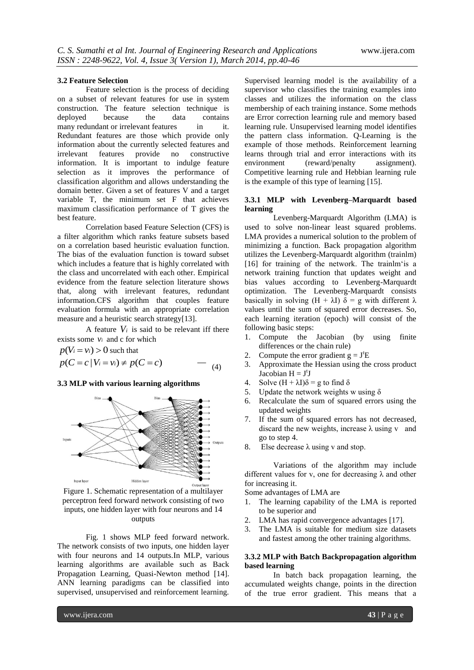#### **3.2 Feature Selection**

Feature selection is the process of deciding on a subset of relevant features for use in system construction. The feature selection technique is deployed because the data contains many redundant or irrelevant features in it. Redundant features are those which provide only information about the currently selected features and irrelevant features provide no constructive information. It is important to indulge feature selection as it improves the performance of classification algorithm and allows understanding the domain better. Given a set of features V and a target variable T, the minimum set F that achieves maximum classification performance of T gives the best feature.

Correlation based Feature Selection (CFS) is a filter algorithm which ranks feature subsets based on a correlation based heuristic evaluation function. The bias of the evaluation function is toward subset which includes a feature that is highly correlated with the class and uncorrelated with each other. Empirical evidence from the feature selection literature shows that, along with irrelevant features, redundant information.CFS algorithm that couples feature evaluation formula with an appropriate correlation measure and a heuristic search strategy[13].

A feature  $V_i$  is said to be relevant iff there exists some  $v_i$  and c for which

$$
p(V_i = v_i) > 0 \text{ such that}
$$
  
 
$$
p(C = c | V_i = v_i) \neq p(C = c) \qquad \text{---} \quad (4)
$$

#### **3.3 MLP with various learning algorithms**



Figure 1. Schematic representation of a multilayer perceptron feed forward network consisting of two inputs, one hidden layer with four neurons and 14 outputs

Fig. 1 shows MLP feed forward network. The network consists of two inputs, one hidden layer with four neurons and 14 outputs.In MLP, various learning algorithms are available such as Back Propagation Learning, Quasi-Newton method [14]. ANN learning paradigms can be classified into supervised, unsupervised and reinforcement learning.

Supervised learning model is the availability of a supervisor who classifies the training examples into classes and utilizes the information on the class membership of each training instance. Some methods are Error correction learning rule and memory based learning rule. Unsupervised learning model identifies the pattern class information. Q-Learning is the example of those methods. Reinforcement learning learns through trial and error interactions with its environment (reward/penalty assignment). Competitive learning rule and Hebbian learning rule is the example of this type of learning [15].

#### **3.3.1 MLP with Levenberg–Marquardt based learning**

Levenberg-Marquardt Algorithm (LMA) is used to solve non-linear least squared problems. LMA provides a numerical solution to the problem of minimizing a function. Back propagation algorithm utilizes the Levenberg-Marquardt algorithm (trainlm) [16] for training of the network. The trainlm'is a network training function that updates weight and bias values according to Levenberg-Marquardt optimization. The Levenberg-Marquardt consists basically in solving  $(H + \lambda I)$   $\delta = g$  with different  $\lambda$ values until the sum of squared error decreases. So, each learning iteration (epoch) will consist of the following basic steps:

- 1. Compute the Jacobian (by using finite differences or the chain rule)
- 2. Compute the error gradient  $g = J<sup>t</sup>E$
- 3. Approximate the Hessian using the cross product Jacobian  $H = J^tJ$
- 4. Solve  $(H + \lambda I)\delta = g$  to find  $\delta$
- 5. Update the network weights w using  $\delta$
- 6. Recalculate the sum of squared errors using the updated weights
- 7. If the sum of squared errors has not decreased, discard the new weights, increase  $\lambda$  using v and go to step 4.
- 8. Else decrease  $\lambda$  using v and stop.

Variations of the algorithm may include different values for v, one for decreasing  $\lambda$  and other for increasing it.

Some advantages of LMA are

- 1. The learning capability of the LMA is reported to be superior and
- 2. LMA has rapid convergence advantages [17].
- 3. The LMA is suitable for medium size datasets and fastest among the other training algorithms.

#### **3.3.2 MLP with Batch Backpropagation algorithm based learning**

In batch back propagation learning, the accumulated weights change, points in the direction of the true error gradient. This means that a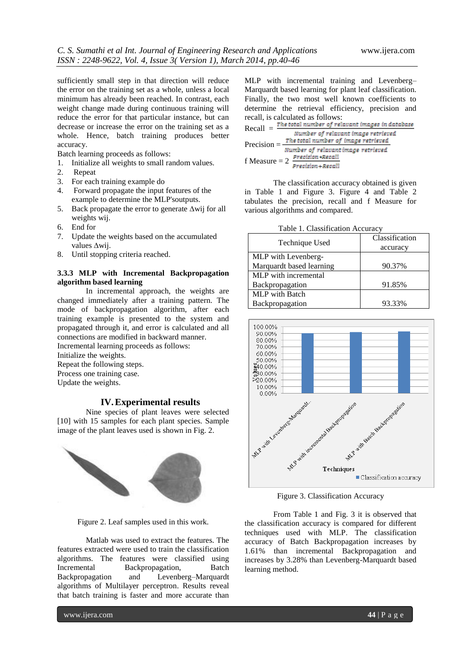sufficiently small step in that direction will reduce the error on the training set as a whole, unless a local minimum has already been reached. In contrast, each weight change made during continuous training will reduce the error for that particular instance, but can decrease or increase the error on the training set as a whole. Hence, batch training produces better accuracy.

Batch learning proceeds as follows:

1. Initialize all weights to small random values.

- 2. Repeat
- 3. For each training example do
- 4. Forward propagate the input features of the example to determine the MLP'soutputs.
- 5. Back propagate the error to generate ∆wij for all weights wij.
- 6. End for
- 7. Update the weights based on the accumulated values ∆wij.
- 8. Until stopping criteria reached.

### **3.3.3 MLP with Incremental Backpropagation algorithm based learning**

In incremental approach, the weights are changed immediately after a training pattern. The mode of backpropagation algorithm, after each training example is presented to the system and propagated through it, and error is calculated and all connections are modified in backward manner. Incremental learning proceeds as follows: Initialize the weights. Repeat the following steps.

Process one training case. Update the weights.

# **IV.Experimental results**

Nine species of plant leaves were selected [10] with 15 samples for each plant species. Sample image of the plant leaves used is shown in Fig. 2.



Figure 2. Leaf samples used in this work.

Matlab was used to extract the features. The features extracted were used to train the classification algorithms. The features were classified using Incremental Backpropagation, Batch Backpropagation and Levenberg–Marquardt algorithms of Multilayer perceptron. Results reveal that batch training is faster and more accurate than

MLP with incremental training and Levenberg– Marquardt based learning for plant leaf classification. Finally, the two most well known coefficients to determine the retrieval efficiency, precision and recall, is calculated as follows:

| $Recall =$      | The total number of relavant images in database |
|-----------------|-------------------------------------------------|
|                 | Number of relavant image retrieved              |
| Precision $=$   | The total number of image retrieved             |
|                 | Number of relavant image retrieved              |
| f Measure $= 2$ | Precision «Recall                               |
|                 | Precision + Recall                              |

The classification accuracy obtained is given in Table 1 and Figure 3. Figure 4 and Table 2 tabulates the precision, recall and f Measure for various algorithms and compared.

Table 1. Classification Accuracy

| Technique Used           | Classification |  |  |
|--------------------------|----------------|--|--|
|                          | accuracy       |  |  |
| MLP with Levenberg-      |                |  |  |
| Marquardt based learning | 90.37%         |  |  |
| MLP with incremental     |                |  |  |
| Backpropagation          | 91.85%         |  |  |
| <b>MLP</b> with Batch    |                |  |  |
| Backpropagation          | 93.33%         |  |  |



Figure 3. Classification Accuracy

From Table 1 and Fig. 3 it is observed that the classification accuracy is compared for different techniques used with MLP. The classification accuracy of Batch Backpropagation increases by 1.61% than incremental Backpropagation and increases by 3.28% than Levenberg-Marquardt based learning method.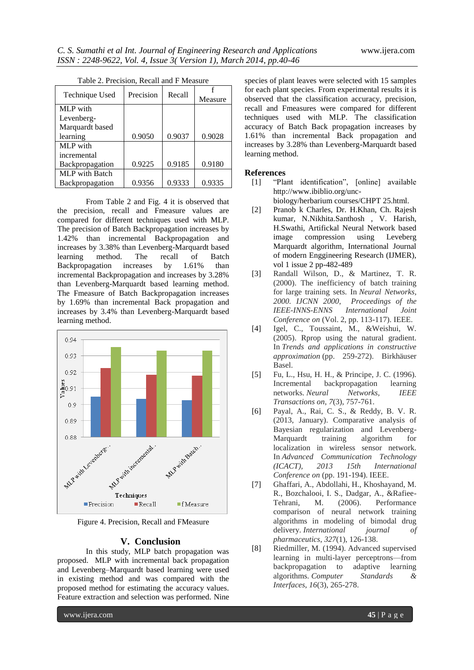| Technique Used        | Precision | Recall |         |
|-----------------------|-----------|--------|---------|
|                       |           |        | Measure |
| MLP with              |           |        |         |
| Levenberg-            |           |        |         |
| Marquardt based       |           |        |         |
| learning              | 0.9050    | 0.9037 | 0.9028  |
| MLP with              |           |        |         |
| incremental           |           |        |         |
| Backpropagation       | 0.9225    | 0.9185 | 0.9180  |
| <b>MLP</b> with Batch |           |        |         |
| Backpropagation       | 0.9356    | 0.9333 | 0.9335  |

|  | Table 2. Precision, Recall and F Measure |  |  |  |
|--|------------------------------------------|--|--|--|
|--|------------------------------------------|--|--|--|

From Table 2 and Fig. 4 it is observed that the precision, recall and Fmeasure values are compared for different techniques used with MLP. The precision of Batch Backpropagation increases by 1.42% than incremental Backpropagation and increases by 3.38% than Levenberg-Marquardt based learning method. The recall of Batch Backpropagation increases by 1.61% than incremental Backpropagation and increases by 3.28% than Levenberg-Marquardt based learning method. The Fmeasure of Batch Backpropagation increases by 1.69% than incremental Back propagation and increases by 3.4% than Levenberg-Marquardt based learning method.



Figure 4. Precision, Recall and FMeasure

#### **V. Conclusion**

In this study, MLP batch propagation was proposed. MLP with incremental back propagation and Levenberg–Marquardt based learning were used in existing method and was compared with the proposed method for estimating the accuracy values. Feature extraction and selection was performed. Nine

species of plant leaves were selected with 15 samples for each plant species. From experimental results it is observed that the classification accuracy, precision, recall and Fmeasures were compared for different techniques used with MLP. The classification accuracy of Batch Back propagation increases by 1.61% than incremental Back propagation and increases by 3.28% than Levenberg-Marquardt based learning method.

#### **References**

- [1] "Plant identification", [online] available http://www.ibiblio.org/unc
	- biology/herbarium courses/CHPT 25.html.
- [2] Pranob k Charles, Dr. H.Khan, Ch. Rajesh kumar, N.Nikhita.Santhosh , V. Harish, H.Swathi, Artifickal Neural Network based image compression using Leveberg Marquardt algorithm, International Journal of modern Enggineering Research (IJMER), vol 1 issue 2 pp-482-489
- [3] Randall Wilson, D., & Martinez, T. R. (2000). The inefficiency of batch training for large training sets. In *Neural Networks, 2000. IJCNN 2000, Proceedings of the IEEE-INNS-ENNS International Joint Conference on* (Vol. 2, pp. 113-117). IEEE.
- [4] Igel, C., Toussaint, M., &Weishui, W. (2005). Rprop using the natural gradient. In *Trends and applications in constructive approximation* (pp. 259-272). Birkhäuser Basel.
- [5] Fu, L., Hsu, H. H., & Principe, J. C. (1996). Incremental backpropagation learning networks. *Neural Networks, IEEE Transactions on*, *7*(3), 757-761.
- [6] Payal, A., Rai, C. S., & Reddy, B. V. R. (2013, January). Comparative analysis of Bayesian regularization and Levenberg-Marquardt training algorithm for localization in wireless sensor network. In *Advanced Communication Technology (ICACT), 2013 15th International Conference on* (pp. 191-194). IEEE.
- [7] Ghaffari, A., Abdollahi, H., Khoshayand, M. R., Bozchalooi, I. S., Dadgar, A., &Rafiee-Tehrani, M. (2006). Performance comparison of neural network training algorithms in modeling of bimodal drug delivery. *International journal of pharmaceutics*, *327*(1), 126-138.
- [8] Riedmiller, M. (1994). Advanced supervised learning in multi-layer perceptrons—from backpropagation to adaptive learning algorithms. *Computer Standards & Interfaces*, *16*(3), 265-278.